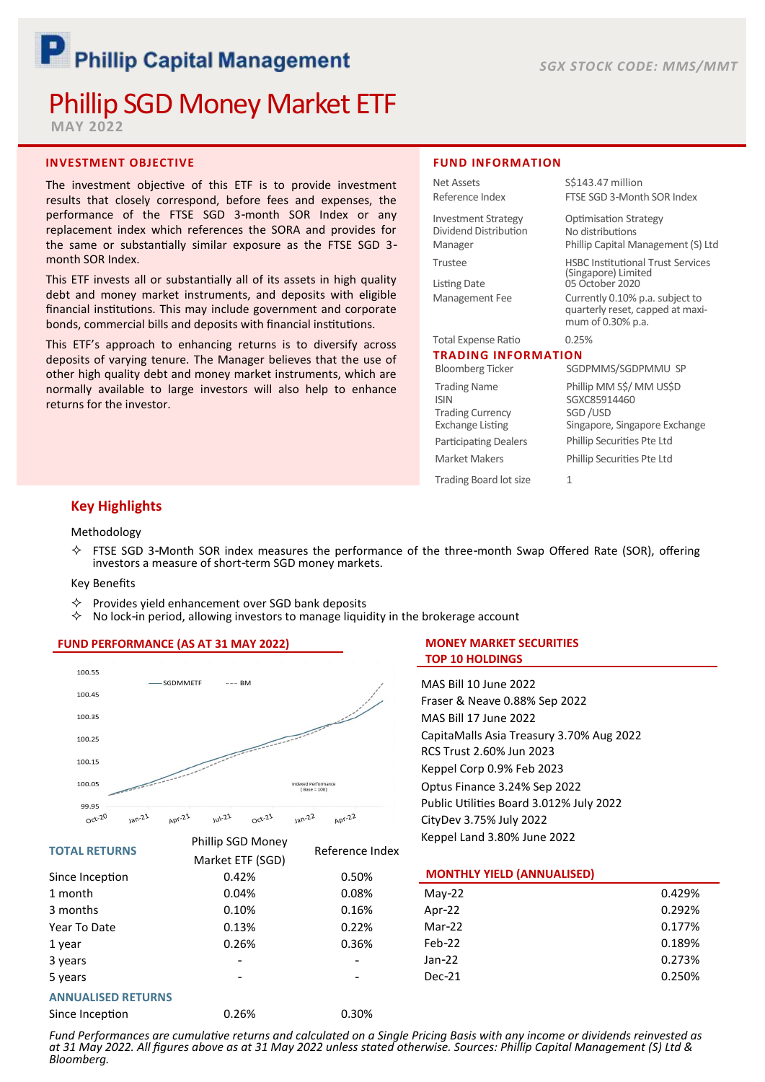# P Phillip Capital Management

# Phillip SGD Money Market ETF

**MAY 2022**

# **INVESTMENT OBJECTIVE**

The investment objective of this ETF is to provide investment results that closely correspond, before fees and expenses, the performance of the FTSE SGD 3-month SOR Index or any replacement index which references the SORA and provides for the same or substantially similar exposure as the FTSE SGD 3 month SOR Index.

This ETF invests all or substantially all of its assets in high quality debt and money market instruments, and deposits with eligible financial institutions. This may include government and corporate bonds, commercial bills and deposits with financial institutions.

This ETF's approach to enhancing returns is to diversify across deposits of varying tenure. The Manager believes that the use of other high quality debt and money market instruments, which are normally available to large investors will also help to enhance returns for the investor.

#### **FUND INFORMATION**

| Net Assets                                                                               | S\$143.47 million                                                                        |  |  |
|------------------------------------------------------------------------------------------|------------------------------------------------------------------------------------------|--|--|
| Reference Index                                                                          | FTSE SGD 3-Month SOR Index                                                               |  |  |
| <b>Investment Strategy</b>                                                               | <b>Optimisation Strategy</b>                                                             |  |  |
| Dividend Distribution<br>Manager                                                         | No distributions<br>Phillip Capital Management (S) Ltd                                   |  |  |
| Trustee                                                                                  | <b>HSBC Institutional Trust Services</b><br>(Singapore) Limited                          |  |  |
| <b>Listing Date</b>                                                                      | 05 October 2020                                                                          |  |  |
| Management Fee                                                                           | Currently 0.10% p.a. subject to<br>quarterly reset, capped at maxi-<br>mum of 0.30% p.a. |  |  |
| <b>Total Expense Ratio</b>                                                               | 0.25%                                                                                    |  |  |
| <b>TRADING INFORMATION</b>                                                               |                                                                                          |  |  |
| <b>Bloomberg Ticker</b>                                                                  | SGDPMMS/SGDPMMU SP                                                                       |  |  |
| <b>Trading Name</b><br><b>ISIN</b><br><b>Trading Currency</b><br><b>Exchange Listing</b> | Phillip MM S\$/ MM US\$D<br>SGXC85914460<br>SGD/USD<br>Singapore, Singapore Exchange     |  |  |
| <b>Participating Dealers</b>                                                             | Phillip Securities Pte Ltd                                                               |  |  |
| Market Makers                                                                            | Phillip Securities Pte Ltd                                                               |  |  |
| Trading Board lot size                                                                   | 1                                                                                        |  |  |

# **Key Highlights**

#### Methodology

 $\diamond$  FTSE SGD 3-Month SOR index measures the performance of the three-month Swap Offered Rate (SOR), offering investors a measure of short-term SGD money markets.

#### Key Benefits

- Provides yield enhancement over SGD bank deposits
- No lock-in period, allowing investors to manage liquidity in the brokerage account

## **FUND PERFORMANCE (AS AT 31 MAY 2022)**



#### **TOTAL RETURNS**

| <b>TOTAL RETURNS</b>      |                  | Reference Index |
|---------------------------|------------------|-----------------|
|                           | Market ETF (SGD) |                 |
| Since Inception           | 0.42%            | 0.50%           |
| 1 month                   | 0.04%            | 0.08%           |
| 3 months                  | 0.10%            | 0.16%           |
| Year To Date              | 0.13%            | 0.22%           |
| 1 year                    | 0.26%            | 0.36%           |
| 3 years                   |                  |                 |
| 5 years                   |                  |                 |
| <b>ANNUALISED RETURNS</b> |                  |                 |

Since Inception 0.26% 0.30%

Phillip SGD Money

# **MONEY MARKET SECURITIES TOP 10 HOLDINGS**

MAS Bill 10 June 2022 Fraser & Neave 0.88% Sep 2022 MAS Bill 17 June 2022 CapitaMalls Asia Treasury 3.70% Aug 2022 RCS Trust 2.60% Jun 2023 Keppel Corp 0.9% Feb 2023 Optus Finance 3.24% Sep 2022 Public Utilities Board 3.012% July 2022 CityDev 3.75% July 2022 Keppel Land 3.80% June 2022

#### **MONTHLY YIELD (ANNUALISED)**

| May-22   | 0.429% |
|----------|--------|
| Apr-22   | 0.292% |
| $Mar-22$ | 0.177% |
| $Feb-22$ | 0.189% |
| Jan-22   | 0.273% |
| Dec-21   | 0.250% |
|          |        |

*Fund Performances are cumulative returns and calculated on a Single Pricing Basis with any income or dividends reinvested as at 31 May 2022. All figures above as at 31 May 2022 unless stated otherwise. Sources: Phillip Capital Management (S) Ltd & Bloomberg.*